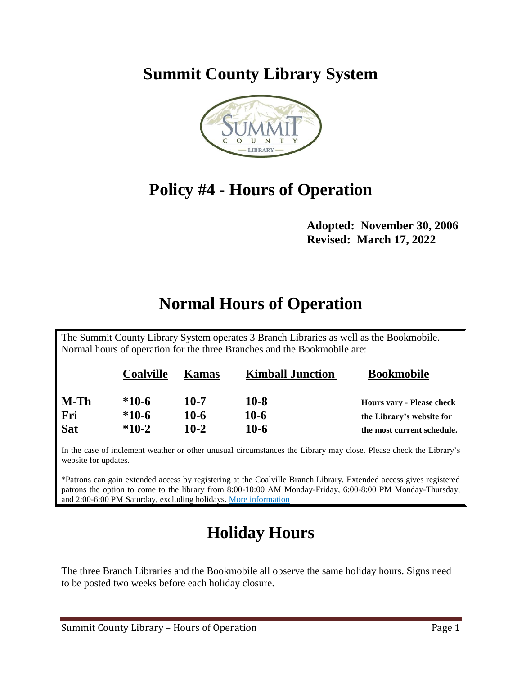**Summit County Library System** 



## **Policy #4 - Hours of Operation**

**Adopted: November 30, 2006 Revised: March 17, 2022**

## **Normal Hours of Operation**

The Summit County Library System operates 3 Branch Libraries as well as the Bookmobile. Normal hours of operation for the three Branches and the Bookmobile are:

|            | <b>Coalville</b> | <b>Kamas</b> | <b>Kimball Junction</b> | <b>Bookmobile</b>                |
|------------|------------------|--------------|-------------------------|----------------------------------|
| $M-Th$     | $*10-6$          | 10-7         | $10 - 8$                | <b>Hours vary - Please check</b> |
| Fri        | $*10-6$          | 10-6         | 10-6                    | the Library's website for        |
| <b>Sat</b> | $*10-2$          | $10-2$       | 10-6                    | the most current schedule.       |

In the case of inclement weather or other unusual circumstances the Library may close. Please check the Library's website for updates.

\*Patrons can gain extended access by registering at the Coalville Branch Library. Extended access gives registered patrons the option to come to the library from 8:00-10:00 AM Monday-Friday, 6:00-8:00 PM Monday-Thursday, and 2:00-6:00 PM Saturday, excluding holidays[. More information](https://www.thesummitcountylibrary.org/extendedaccess) 

## **Holiday Hours**

The three Branch Libraries and the Bookmobile all observe the same holiday hours. Signs need to be posted two weeks before each holiday closure.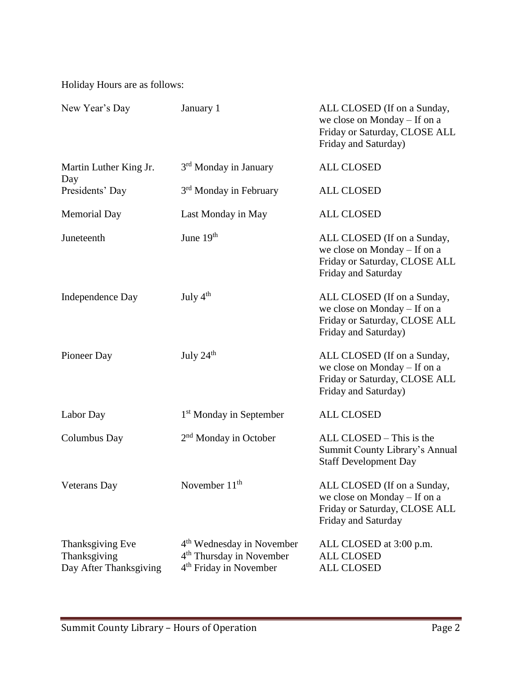Holiday Hours are as follows:

| New Year's Day                                             | January 1                                                                                                           | ALL CLOSED (If on a Sunday,<br>we close on Monday – If on a<br>Friday or Saturday, CLOSE ALL<br>Friday and Saturday) |
|------------------------------------------------------------|---------------------------------------------------------------------------------------------------------------------|----------------------------------------------------------------------------------------------------------------------|
| Martin Luther King Jr.                                     | 3 <sup>rd</sup> Monday in January                                                                                   | <b>ALL CLOSED</b>                                                                                                    |
| Day<br>Presidents' Day                                     | 3 <sup>rd</sup> Monday in February                                                                                  | <b>ALL CLOSED</b>                                                                                                    |
| <b>Memorial Day</b>                                        | Last Monday in May                                                                                                  | <b>ALL CLOSED</b>                                                                                                    |
| Juneteenth                                                 | June 19 <sup>th</sup>                                                                                               | ALL CLOSED (If on a Sunday,<br>we close on Monday – If on a<br>Friday or Saturday, CLOSE ALL<br>Friday and Saturday  |
| Independence Day                                           | July 4 <sup>th</sup>                                                                                                | ALL CLOSED (If on a Sunday,<br>we close on Monday – If on a<br>Friday or Saturday, CLOSE ALL<br>Friday and Saturday) |
| Pioneer Day                                                | July $24th$                                                                                                         | ALL CLOSED (If on a Sunday,<br>we close on Monday – If on a<br>Friday or Saturday, CLOSE ALL<br>Friday and Saturday) |
| Labor Day                                                  | 1 <sup>st</sup> Monday in September                                                                                 | <b>ALL CLOSED</b>                                                                                                    |
| <b>Columbus Day</b>                                        | 2 <sup>nd</sup> Monday in October                                                                                   | ALL CLOSED – This is the<br>Summit County Library's Annual<br><b>Staff Development Day</b>                           |
| Veterans Day                                               | November 11 <sup>th</sup>                                                                                           | ALL CLOSED (If on a Sunday,<br>we close on Monday – If on a<br>Friday or Saturday, CLOSE ALL<br>Friday and Saturday  |
| Thanksgiving Eve<br>Thanksgiving<br>Day After Thanksgiving | 4 <sup>th</sup> Wednesday in November<br>4 <sup>th</sup> Thursday in November<br>4 <sup>th</sup> Friday in November | ALL CLOSED at 3:00 p.m.<br><b>ALL CLOSED</b><br><b>ALL CLOSED</b>                                                    |